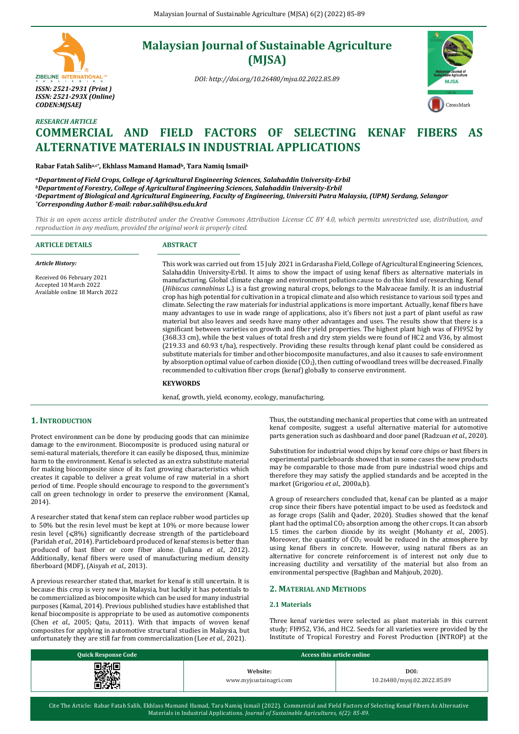# ZIBELINE INTERNATIONAL<sup>TH</sup> *ISSN: 2521-2931 (Print ) ISSN: 2521-293X (Online) CODEN:MJSAEJ*

*RESEARCH ARTICLE*

# **Malaysian Journal of Sustainable Agriculture (MJSA)**

*DOI: http://doi.org/10.26480/mjsa.02.2022.85.89*



# **COMMERCIAL AND FIELD FACTORS OF SELECTING KENAF FIBERS AS ALTERNATIVE MATERIALS IN INDUSTRIAL APPLICATIONS**

**Rabar Fatah Saliha,c\*, Ekhlass Mamand Hamadb, Tara Namiq Ismail<sup>b</sup>**

*<sup>a</sup>Departmentof Field Crops, College of Agricultural Engineering Sciences, Salahaddin University-Erbil <sup>b</sup>Departmentof Forestry, College of Agricultural Engineering Sciences, Salahaddin University-Erbil <sup>c</sup>Department of Biological and Agricultural Engineering, Faculty of Engineering, Universiti Putra Malaysia, (UPM) Serdang, Selangor \*Corresponding Author E-mail[: rabar.salih@su.edu.krd](mailto:rabar.salih@su.edu.krd)*

*This is an open access article distributed under the Creative Commons Attribution License CC BY 4.0, which permits unrestricted use, distribution, and reproduction in any medium, provided the original work is properly cited.*

| <b>ARTICLE DETAILS</b>                                                                                           | <b>ABSTRACT</b>                                                                                                                                                                                                                                                                                                                                                                                                                                                                                                                                                                                                                                                                                                                                                                                                                                                                                                                                                                                                                                                                                                                                                                                                                                                                                                                                                                                                                                                                                                                                                                                                      |
|------------------------------------------------------------------------------------------------------------------|----------------------------------------------------------------------------------------------------------------------------------------------------------------------------------------------------------------------------------------------------------------------------------------------------------------------------------------------------------------------------------------------------------------------------------------------------------------------------------------------------------------------------------------------------------------------------------------------------------------------------------------------------------------------------------------------------------------------------------------------------------------------------------------------------------------------------------------------------------------------------------------------------------------------------------------------------------------------------------------------------------------------------------------------------------------------------------------------------------------------------------------------------------------------------------------------------------------------------------------------------------------------------------------------------------------------------------------------------------------------------------------------------------------------------------------------------------------------------------------------------------------------------------------------------------------------------------------------------------------------|
| <b>Article History:</b><br>Received 06 February 2021<br>Accepted 10 March 2022<br>Available online 18 March 2022 | This work was carried out from 15 July 2021 in Grdarasha Field, College of Agricultural Engineering Sciences,<br>Salahaddin University-Erbil. It aims to show the impact of using kenaf fibers as alternative materials in<br>manufacturing. Global climate change and environment pollution cause to do this kind of researching. Kenaf<br>(Hibiscus cannabinus L.) is a fast growing natural crops, belongs to the Malvaceae family. It is an industrial<br>crop has high potential for cultivation in a tropical climate and also which resistance to various soil types and<br>climate. Selecting the raw materials for industrial applications is more important. Actually, kenaf fibers have<br>many advantages to use in wade range of applications, also it's fibers not just a part of plant useful as raw<br>material but also leaves and seeds have many other advantages and uses. The results show that there is a<br>significant between varieties on growth and fiber yield properties. The highest plant high was of FH952 by<br>(368.33 cm), while the best values of total fresh and dry stem yields were found of HC2 and V36, by almost<br>(219.33 and 60.93 t/ha), respectively. Providing these results through kenaf plant could be considered as<br>substitute materials for timber and other biocomposite manufactures, and also it causes to safe environment<br>by absorption optimal value of carbon dioxide $(CO_2)$ , then cutting of woodland trees will be decreased. Finally<br>recommended to cultivation fiber crops (kenaf) globally to conserve environment.<br><b>KEYWORDS</b> |

kenaf, growth, yield, economy, ecology, manufacturing.

# **1. INTRODUCTION**

Protect environment can be done by producing goods that can minimize damage to the environment. Biocomposite is produced using natural or semi-natural materials, therefore it can easily be disposed, thus, minimize harm to the environment. Kenaf is selected as an extra substitute material for making biocomposite since of its fast growing characteristics which creates it capable to deliver a great volume of raw material in a short period of time. People should encourage to respond to the government's call on green technology in order to preserve the environment (Kamal, 2014).

A researcher stated that kenaf stem can replace rubber wood particles up to 50% but the resin level must be kept at 10% or more because lower resin level  $({\leq}8\%)$  significantly decrease strength of the particleboard (Paridah *et al.,* 2014). Particleboard produced of kenaf stems is better than produced of bast fiber or core fiber alone. (Juliana *et al.,* 2012). Additionally, kenaf fibers were used of manufacturing medium density fiberboard (MDF), (Aisyah *et al.,* 2013).

A previous researcher stated that, market for kenaf is still uncertain. It is because this crop is very new in Malaysia, but luckily it has potentials to be commercialized as biocomposite which can be used for many industrial purposes (Kamal, 2014). Previous published studies have established that kenaf biocomposite is appropriate to be used as automotive components (Chen *et al.,* 2005; Qatu, 2011). With that impacts of woven kenaf composites for applying in automotive structural studies in Malaysia, but unfortunately they are still far from commercialization (Lee *et al.,* 2021).

Thus, the outstanding mechanical properties that come with an untreated kenaf composite, suggest a useful alternative material for automotive parts generation such as dashboard and door panel (Radzuan *et al.,* 2020).

Substitution for industrial wood chips by kenaf core chips or bast fibers in experimental particleboards showed that in some cases the new products may be comparable to those made from pure industrial wood chips and therefore they may satisfy the applied standards and be accepted in the market (Grigoriou *et al.,* 2000a,b).

A group of researchers concluded that, kenaf can be planted as a major crop since their fibers have potential impact to be used as feedstock and as forage crops (Salih and Qader, 2020). Studies showed that the kenaf plant had the optimal CO<sup>2</sup> absorption among the other crops. It can absorb 1.5 times the carbon dioxide by its weight (Mohanty *et al.,* 2005). Moreover, the quantity of  $CO<sub>2</sub>$  would be reduced in the atmosphere by using kenaf fibers in concrete. However, using natural fibers as an alternative for concrete reinforcement is of interest not only due to increasing ductility and versatility of the material but also from an environmental perspective (Baghban and Mahjoub, 2020).

#### **2. MATERIAL AND METHODS**

## **2.1 Materials**

Three kenaf varieties were selected as plant materials in this current study; FH952, V36, and HC2. Seeds for all varieties were provided by the Institute of Tropical Forestry and Forest Production (INTROP) at the

| <b>Quick Response Code</b> | Access this article online         |                                     |  |  |  |  |
|----------------------------|------------------------------------|-------------------------------------|--|--|--|--|
| ■税回<br>喀湖の<br>■法戦          | Website:<br>www.myjsustainagri.com | DOI:<br>10.26480/mysj.02.2022.85.89 |  |  |  |  |

Cite The Article: Rabar Fatah Salih, Ekhlass Mamand Hamad, Tara Namiq Ismail (2022). Commercial and Field Factors of Selecting Kenaf Fibers As Alternative Materials in Industrial Applications. *Journal of Sustainable Agricultures, 6(2): 85-89*.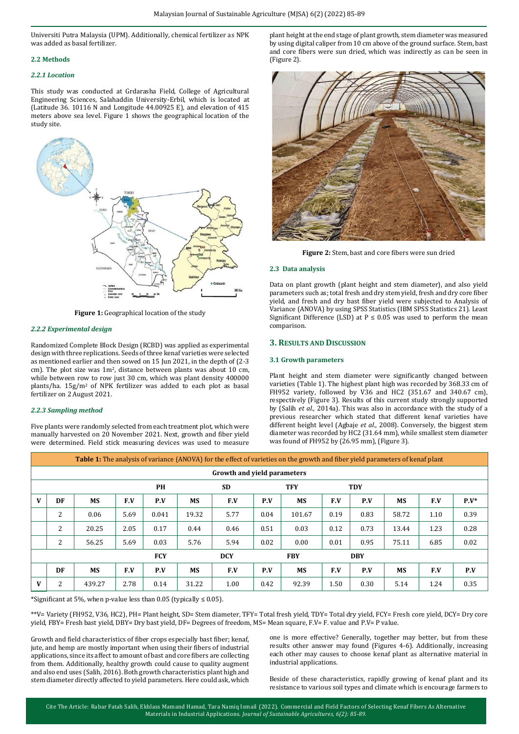Universiti Putra Malaysia (UPM). Additionally, chemical fertilizer as NPK was added as basal fertilizer.

### **2.2 Methods**

#### *2.2.1 Location*

This study was conducted at Grdarasha Field, College of Agricultural Engineering Sciences, Salahaddin University-Erbil, which is located at (Latitude 36. 10116 N and Longitude 44.00925 E), and elevation of 415 meters above sea level. Figure 1 shows the geographical location of the study site.



**Figure 1:** Geographical location of the study

#### *2.2.2 Experimental design*

Randomized Complete Block Design (RCBD) was applied as experimental design with three replications. Seeds of three kenaf varieties were selected as mentioned earlier and then sowed on 15 Jun 2021, in the depth of (2-3 cm). The plot size was  $1m^2$ , distance between plants was about 10 cm, while between row to row just 30 cm, which was plant density 400000 plants/ha. 15g/m<sup>2</sup> of NPK fertilizer was added to each plot as basal fertilizer on 2 August 2021.

#### *2.2.3 Sampling method*

Five plants were randomly selected from each treatment plot, which were manually harvested on 20 November 2021. Next, growth and fiber yield were determined. Field stick measuring devices was used to measure plant height at the end stage of plant growth, stem diameter was measured by using digital caliper from 10 cm above of the ground surface. Stem, bast and core fibers were sun dried, which was indirectly as can be seen in (Figure 2).



**Figure 2:** Stem, bast and core fibers were sun dried

#### **2.3 Data analysis**

Data on plant growth (plant height and stem diameter), and also yield parameters such as; total fresh and dry stem yield, fresh and dry core fiber yield, and fresh and dry bast fiber yield were subjected to Analysis of Variance (ANOVA) by using SPSS Statistics (IBM SPSS Statistics 21). Least Significant Difference (LSD) at  $P \le 0.05$  was used to perform the mean comparison.

### **3. RESULTS AND DISCUSSION**

#### **3.1 Growth parameters**

Plant height and stem diameter were significantly changed between varieties (Table 1). The highest plant high was recorded by 368.33 cm of FH952 variety, followed by V36 and HC2 (351.67 and 340.67 cm), respectively (Figure 3). Results of this current study strongly supported by (Salih *et al.,* 2014a). This was also in accordance with the study of a previous researcher which stated that different kenaf varieties have different height level (Agbaje *et al.*, 2008). Conversely, the biggest stem diameter was recorded by HC2 (31.64 mm), while smallest stem diameter was found of FH952 by (26.95 mm), (Figure 3).

|   | <b>Table 1:</b> The analysis of variance (ANOVA) for the effect of varieties on the growth and fiber yield parameters of kenaf plant |           |            |           |            |           |            |            |            |            |           |      |         |
|---|--------------------------------------------------------------------------------------------------------------------------------------|-----------|------------|-----------|------------|-----------|------------|------------|------------|------------|-----------|------|---------|
|   | Growth and yield parameters                                                                                                          |           |            |           |            |           |            |            |            |            |           |      |         |
|   |                                                                                                                                      |           |            | <b>PH</b> |            | <b>SD</b> |            | <b>TFY</b> |            | <b>TDY</b> |           |      |         |
| V | DF                                                                                                                                   | <b>MS</b> | F.V        | P.V       | <b>MS</b>  | F.V       | P.V        | <b>MS</b>  | F.V        | P.V        | <b>MS</b> | F.V  | $P.V^*$ |
|   | 2                                                                                                                                    | 0.06      | 5.69       | 0.041     | 19.32      | 5.77      | 0.04       | 101.67     | 0.19       | 0.83       | 58.72     | 1.10 | 0.39    |
|   | 2                                                                                                                                    | 20.25     | 2.05       | 0.17      | 0.44       | 0.46      | 0.51       | 0.03       | 0.12       | 0.73       | 13.44     | 1.23 | 0.28    |
|   | 2                                                                                                                                    | 56.25     | 5.69       | 0.03      | 5.76       | 5.94      | 0.02       | 0.00       | 0.01       | 0.95       | 75.11     | 6.85 | 0.02    |
|   |                                                                                                                                      |           | <b>FCY</b> |           | <b>DCY</b> |           | <b>FBY</b> |            | <b>DBY</b> |            |           |      |         |
|   | DF                                                                                                                                   | <b>MS</b> | F.V        | P.V       | <b>MS</b>  | F.V       | P.V        | <b>MS</b>  | F.V        | P.V        | <b>MS</b> | F.V  | P.V     |
| V | 2                                                                                                                                    | 439.27    | 2.78       | 0.14      | 31.22      | 1.00      | 0.42       | 92.39      | 1.50       | 0.30       | 5.14      | 1.24 | 0.35    |

\*Significant at 5%, when p-value less than 0.05 (typically ≤ 0.05).

\*\*V= Variety (FH952, V36, HC2), PH= Plant height, SD= Stem diameter, TFY= Total fresh yield, TDY= Total dry yield, FCY= Fresh core yield, DCY= Dry core yield, FBY= Fresh bast yield, DBY= Dry bast yield, DF= Degrees of freedom, MS= Mean square, F.V= F. value and P.V= P value.

Growth and field characteristics of fiber crops especially bast fiber; kenaf, jute, and hemp are mostly important when using their fibers of industrial applications, since its affect to amount of bast and core fibers are collecting from them. Additionally, healthy growth could cause to quality augment and also end uses (Salih, 2016). Both growth characteristics plant high and stem diameter directly affected to yield parameters. Here could ask, which one is more effective? Generally, together may better, but from these results other answer may found (Figures 4-6). Additionally, increasing each other may causes to choose kenaf plant as alternative material in industrial applications.

Beside of these characteristics, rapidly growing of kenaf plant and its resistance to various soil types and climate which is encourage farmers to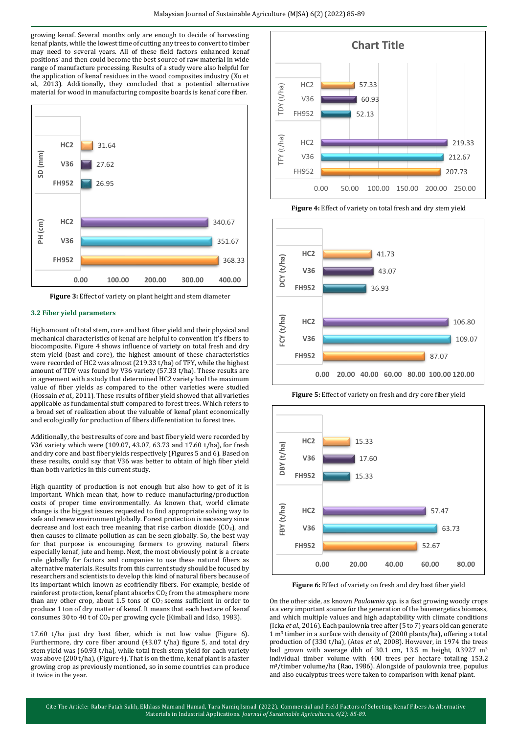growing kenaf. Several months only are enough to decide of harvesting kenaf plants, while the lowest time of cutting any trees to convert to timber may need to several years. All of these field factors enhanced kenaf positions' and then could become the best source of raw material in wide range of manufacture processing. Results of a study were also helpful for the application of kenaf residues in the wood composites industry (Xu et al., 2013). Additionally, they concluded that a potential alternative material for wood in manufacturing composite boards is kenaf core fiber.



**Figure 3:** Effect of variety on plant height and stem diameter

#### **3.2 Fiber yield parameters**

High amount of total stem, core and bast fiber yield and their physical and mechanical characteristics of kenaf are helpful to convention it's fibers to biocomposite. Figure 4 shows influence of variety on total fresh and dry stem yield (bast and core), the highest amount of these characteristics were recorded of HC2 was almost (219.33 t/ha) of TFY, while the highest amount of TDY was found by V36 variety (57.33 t/ha). These results are in agreement with a study that determined HC2 variety had the maximum value of fiber yields as compared to the other varieties were studied (Hossain *et al.*, 2011). These results of fiber yield showed that all varieties applicable as fundamental stuff compared to forest trees. Which refers to a broad set of realization about the valuable of kenaf plant economically and ecologically for production of fibers differentiation to forest tree.

Additionally, the best results of core and bast fiber yield were recorded by V36 variety which were (109.07, 43.07, 63.73 and 17.60 t/ha), for fresh and dry core and bast fiber yields respectively (Figures 5 and 6). Based on these results, could say that V36 was better to obtain of high fiber yield than both varieties in this current study.

High quantity of production is not enough but also how to get of it is important. Which mean that, how to reduce manufacturing/production costs of proper time environmentally. As known that, world climate change is the biggest issues requested to find appropriate solving way to safe and renew environment globally. Forest protection is necessary since decrease and lost each tree meaning that rise carbon dioxide ( $CO<sub>2</sub>$ ), and then causes to climate pollution as can be seen globally. So, the best way for that purpose is encouraging farmers to growing natural fibers especially kenaf, jute and hemp. Next, the most obviously point is a create rule globally for factors and companies to use these natural fibers as alternative materials. Results from this current study should be focused by researchers and scientists to develop this kind of natural fibers because of its important which known as ecofriendly fibers. For example, beside of rainforest protection, kenaf plant absorbs CO<sub>2</sub> from the atmosphere more than any other crop, about 1.5 tons of  $CO<sub>2</sub>$  seems sufficient in order to produce 1 ton of dry matter of kenaf. It means that each hectare of kenaf consumes 30 to 40 t of CO<sup>2</sup> per growing cycle (Kimball and Idso, 1983).

17.60 t/ha just dry bast fiber, which is not low value (Figure 6). Furthermore, dry core fiber around (43.07 t/ha) figure 5, and total dry stem yield was (60.93 t/ha), while total fresh stem yield for each variety was above (200 t/ha), (Figure 4). That is on the time, kenaf plant is a faster growing crop as previously mentioned, so in some countries can produce it twice in the year.



**Figure 4:** Effect of variety on total fresh and dry stem yield



**Figure 5:** Effect of variety on fresh and dry core fiber yield



**Figure 6:** Effect of variety on fresh and dry bast fiber yield

On the other side, as known *Paulownia spp*. is a fast growing woody crops is a very important source for the generation of the bioenergetics biomass, and which multiple values and high adaptability with climate conditions (Icka *et al.,* 2016). Each paulownia tree after (5 to 7) years old can generate  $1 \text{ m}^3$  timber in a surface with density of (2000 plants/ha), offering a total production of (330 t/ha), (Ates *et al.,* 2008). However, in 1974 the trees had grown with average dbh of 30.1 cm, 13.5 m height, 0.3927 m<sup>3</sup> individual timber volume with 400 trees per hectare totaling 153.2 m3/timber volume/ha (Rao, 1986). Alongside of paulownia tree, populus and also eucalyptus trees were taken to comparison with kenaf plant.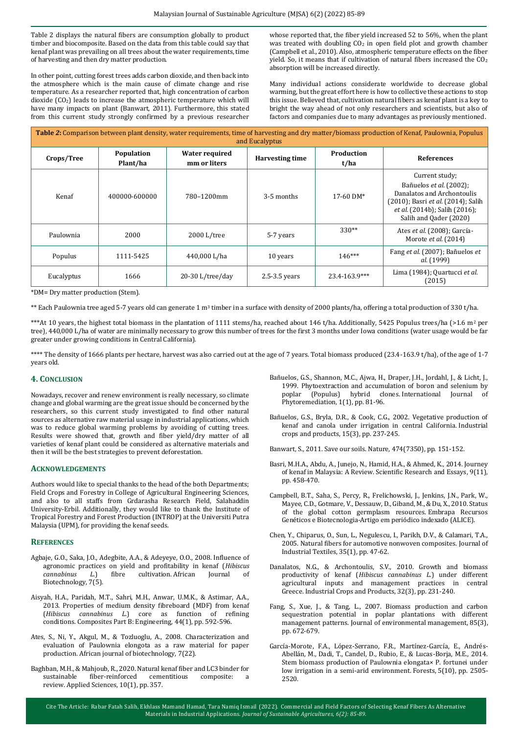Table 2 displays the natural fibers are consumption globally to product timber and biocomposite. Based on the data from this table could say that kenaf plant was prevailing on all trees about the water requirements, time of harvesting and then dry matter production.

In other point, cutting forest trees adds carbon dioxide, and then back into the atmosphere which is the main cause of climate change and rise temperature. As a researcher reported that, high concentration of carbon dioxide (CO<sub>2</sub>) leads to increase the atmospheric temperature which will have many impacts on plant (Banwart, 2011). Furthermore, this stated from this current study strongly confirmed by a previous researcher

whose reported that, the fiber yield increased 52 to 56%, when the plant was treated with doubling CO<sub>2</sub> in open field plot and growth chamber (Campbell et al., 2010). Also, atmospheric temperature effects on the fiber yield. So, it means that if cultivation of natural fibers increased the CO<sub>2</sub> absorption will be increased directly.

Many individual actions considerate worldwide to decrease global warming, but the great effort here is how to collective these actions to stop this issue. Believed that, cultivation natural fibers as kenaf plant is a key to bright the way ahead of not only researchers and scientists, but also of factors and companies due to many advantages as previously mentioned.

| Table 2: Comparison between plant density, water requirements, time of harvesting and dry matter/biomass production of Kenaf, Paulownia, Populus<br>and Eucalyptus |                        |                                       |                                              |               |                                                                                                                                                                                 |  |  |
|--------------------------------------------------------------------------------------------------------------------------------------------------------------------|------------------------|---------------------------------------|----------------------------------------------|---------------|---------------------------------------------------------------------------------------------------------------------------------------------------------------------------------|--|--|
| Crops/Tree                                                                                                                                                         | Population<br>Plant/ha | <b>Water required</b><br>mm or liters | Production<br><b>Harvesting time</b><br>t/ha |               | <b>References</b>                                                                                                                                                               |  |  |
| Kenaf                                                                                                                                                              | 400000-600000          | 780-1200mm                            | 3-5 months                                   | $17-60$ DM*   | Current study;<br>Bañuelos et al. (2002);<br>Danalatos and Archontoulis<br>(2010); Basri et al. (2014); Salih<br><i>et al.</i> (2014b); Salih (2016);<br>Salih and Qader (2020) |  |  |
| Paulownia                                                                                                                                                          | 2000                   | 2000 L/tree                           | 5-7 years                                    | $330**$       | Ates et al. (2008); García-<br>Morote et al. (2014)                                                                                                                             |  |  |
| Populus                                                                                                                                                            | 1111-5425              | 440,000 L/ha                          | 10 years                                     | $146***$      | Fang et al. (2007); Bañuelos et<br>al. (1999)                                                                                                                                   |  |  |
| Eucalyptus                                                                                                                                                         | 1666                   | $20-30$ L/tree/day                    | $2.5 - 3.5$ years                            | 23.4-163.9*** | Lima (1984); Quartucci et al.<br>(2015)                                                                                                                                         |  |  |

\*DM= Dry matter production (Stem).

\*\* Each Paulownia tree aged 5-7 years old can generate 1 m<sup>3</sup> timber in a surface with density of 2000 plants/ha, offering a total production of 330 t/ha.

\*\*\*At 10 years, the highest total biomass in the plantation of 1111 stems/ha, reached about 146 t/ha. Additionally, 5425 Populus trees/ha (>1.6 m<sup>2</sup> per tree), 440,000 L/ha of water are minimally necessary to grow this number of trees for the first 3 months under Iowa conditions (water usage would be far greater under growing conditions in Central California).

\*\*\*\* The density of 1666 plants per hectare, harvest was also carried out at the age of 7 years. Total biomass produced (23.4-163.9 t/ha), of the age of 1-7 years old.

#### **4. CONCLUSION**

Nowadays, recover and renew environment is really necessary, so climate change and global warming are the great issue should be concerned by the researchers, so this current study investigated to find other natural sources as alternative raw material usage in industrial applications, which was to reduce global warming problems by avoiding of cutting trees. Results were showed that, growth and fiber yield/dry matter of all varieties of kenaf plant could be considered as alternative materials and then it will be the best strategies to prevent deforestation.

#### **ACKNOWLEDGEMENTS**

Authors would like to special thanks to the head of the both Departments; Field Crops and Forestry in College of Agricultural Engineering Sciences, and also to all staffs from Grdarasha Research Field, Salahaddin University-Erbil. Additionally, they would like to thank the Institute of Tropical Forestry and Forest Production (INTROP) at the Universiti Putra Malaysia (UPM), for providing the kenaf seeds.

#### **REFERENCES**

- Agbaje, G.O., Saka, J.O., Adegbite, A.A., & Adeyeye, O.O., 2008. Influence of agronomic practices on yield and profitability in kenaf (*Hibiscus cannabinus L.*) fibre cultivation. African Journal Biotechnology, 7(5).
- Aisyah, H.A., Paridah, M.T., Sahri, M.H., Anwar, U.M.K., & Astimar, A.A., 2013. Properties of medium density fibreboard (MDF) from kenaf (*Hibiscus cannabinus L.*) core as function of refining conditions. Composites Part B: Engineering, 44(1), pp. 592-596.
- Ates, S., Ni, Y., Akgul, M., & Tozluoglu, A., 2008. Characterization and evaluation of Paulownia elongota as a raw material for paper production. African journal of biotechnology, 7(22).
- Baghban, M.H., & Mahjoub, R., 2020. Natural kenaf fiber and LC3 binder for sustainable fiber-reinforced cementitious composite: review. Applied Sciences, 10(1), pp. 357.
- Bañuelos, G.S., Shannon, M.C., Ajwa, H., Draper, J.H., Jordahl, J., & Licht, J., 1999. Phytoextraction and accumulation of boron and selenium by poplar (Populus) hybrid clones. International Journal of Phytoremediation, 1(1), pp. 81-96.
- Bañuelos, G.S., Bryla, D.R., & Cook, C.G., 2002. Vegetative production of kenaf and canola under irrigation in central California. Industrial crops and products, 15(3), pp. 237-245.

Banwart, S., 2011. Save our soils. Nature, 474(7350), pp. 151-152.

- Basri, M.H.A., Abdu, A., Junejo, N., Hamid, H.A., & Ahmed, K., 2014. Journey of kenaf in Malaysia: A Review. Scientific Research and Essays, 9(11), pp. 458-470.
- Campbell, B.T., Saha, S., Percy, R., Frelichowski, J., Jenkins, J.N., Park, W., Mayee, C.D., Gotmare, V., Dessauw, D., Giband, M., & Du, X., 2010. Status of the global cotton germplasm resources. Embrapa Recursos Genéticos e Biotecnologia-Artigo em periódico indexado (ALICE).
- Chen, Y., Chiparus, O., Sun, L., Negulescu, I., Parikh, D.V., & Calamari, T.A., 2005. Natural fibers for automotive nonwoven composites. Journal of Industrial Textiles, 35(1), pp. 47-62.
- Danalatos, N.G., & Archontoulis, S.V., 2010. Growth and biomass productivity of kenaf (*Hibiscus cannabinus L.*) under different agricultural inputs and management practices in central Greece. Industrial Crops and Products, 32(3), pp. 231-240.
- Fang, S., Xue, J., & Tang, L., 2007. Biomass production and carbon sequestration potential in poplar plantations with different management patterns. Journal of environmental management, 85(3), pp. 672-679.
- García-Morote, F.A., López-Serrano, F.R., Martínez-García, E., Andrés-Abellán, M., Dadi, T., Candel, D., Rubio, E., & Lucas-Borja, M.E., 2014. Stem biomass production of Paulownia elongata× P. fortunei under low irrigation in a semi-arid environment. Forests, 5(10), pp. 2505- 2520.